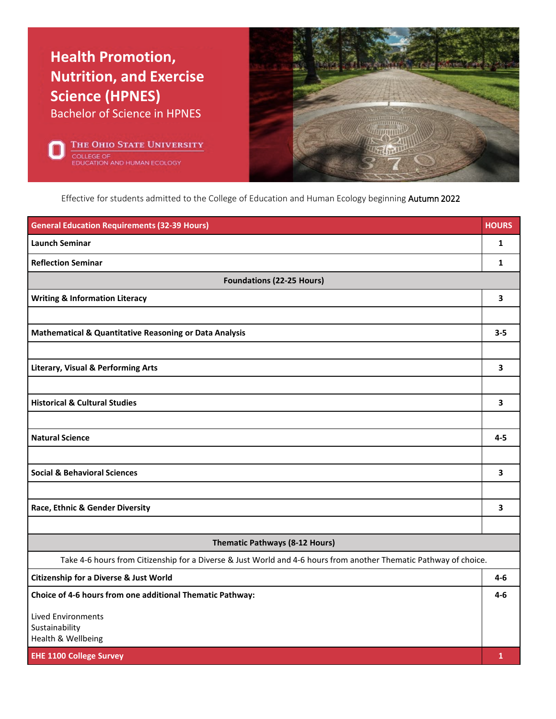

THE OHIO STATE UNIVERSITY **OLLEGE OF** ATION AND HUMAN ECOLOGY



Effective for students admitted to the College of Education and Human Ecology beginning Autumn 2022

| <b>General Education Requirements (32-39 Hours)</b>                                                               | <b>HOURS</b> |  |
|-------------------------------------------------------------------------------------------------------------------|--------------|--|
| <b>Launch Seminar</b>                                                                                             | $\mathbf{1}$ |  |
| <b>Reflection Seminar</b>                                                                                         | 1            |  |
| <b>Foundations (22-25 Hours)</b>                                                                                  |              |  |
| <b>Writing &amp; Information Literacy</b>                                                                         | 3            |  |
|                                                                                                                   |              |  |
| Mathematical & Quantitative Reasoning or Data Analysis                                                            | $3 - 5$      |  |
|                                                                                                                   |              |  |
| <b>Literary, Visual &amp; Performing Arts</b>                                                                     | 3            |  |
|                                                                                                                   |              |  |
| <b>Historical &amp; Cultural Studies</b>                                                                          | 3            |  |
|                                                                                                                   |              |  |
| <b>Natural Science</b>                                                                                            | $4 - 5$      |  |
|                                                                                                                   |              |  |
| <b>Social &amp; Behavioral Sciences</b>                                                                           | 3            |  |
|                                                                                                                   |              |  |
| Race, Ethnic & Gender Diversity                                                                                   | 3            |  |
|                                                                                                                   |              |  |
| Thematic Pathways (8-12 Hours)                                                                                    |              |  |
| Take 4-6 hours from Citizenship for a Diverse & Just World and 4-6 hours from another Thematic Pathway of choice. |              |  |
| <b>Citizenship for a Diverse &amp; Just World</b>                                                                 | 4-6          |  |
| Choice of 4-6 hours from one additional Thematic Pathway:                                                         | $4-6$        |  |
| <b>Lived Environments</b>                                                                                         |              |  |
| Sustainability<br>Health & Wellbeing                                                                              |              |  |
| <b>EHE 1100 College Survey</b>                                                                                    | $\mathbf{1}$ |  |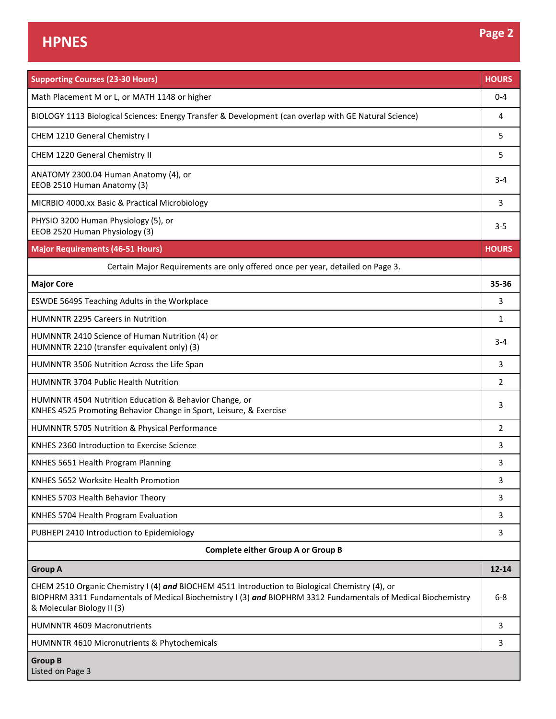| <b>Supporting Courses (23-30 Hours)</b>                                                                                                                                                                                                        | <b>HOURS</b> |  |  |
|------------------------------------------------------------------------------------------------------------------------------------------------------------------------------------------------------------------------------------------------|--------------|--|--|
| Math Placement M or L, or MATH 1148 or higher                                                                                                                                                                                                  | $0 - 4$      |  |  |
| BIOLOGY 1113 Biological Sciences: Energy Transfer & Development (can overlap with GE Natural Science)                                                                                                                                          | 4            |  |  |
| CHEM 1210 General Chemistry I                                                                                                                                                                                                                  | 5            |  |  |
| CHEM 1220 General Chemistry II                                                                                                                                                                                                                 | 5.           |  |  |
| ANATOMY 2300.04 Human Anatomy (4), or<br>EEOB 2510 Human Anatomy (3)                                                                                                                                                                           | $3 - 4$      |  |  |
| MICRBIO 4000.xx Basic & Practical Microbiology                                                                                                                                                                                                 | 3            |  |  |
| PHYSIO 3200 Human Physiology (5), or<br>EEOB 2520 Human Physiology (3)                                                                                                                                                                         | 3-5          |  |  |
| <b>Major Requirements (46-51 Hours)</b>                                                                                                                                                                                                        | <b>HOURS</b> |  |  |
| Certain Major Requirements are only offered once per year, detailed on Page 3.                                                                                                                                                                 |              |  |  |
| <b>Major Core</b>                                                                                                                                                                                                                              | 35-36        |  |  |
| ESWDE 5649S Teaching Adults in the Workplace                                                                                                                                                                                                   | 3            |  |  |
| <b>HUMNNTR 2295 Careers in Nutrition</b>                                                                                                                                                                                                       | 1            |  |  |
| HUMNNTR 2410 Science of Human Nutrition (4) or<br>HUMNNTR 2210 (transfer equivalent only) (3)                                                                                                                                                  | 3-4          |  |  |
| HUMNNTR 3506 Nutrition Across the Life Span                                                                                                                                                                                                    | 3            |  |  |
| HUMNNTR 3704 Public Health Nutrition                                                                                                                                                                                                           | 2            |  |  |
| HUMNNTR 4504 Nutrition Education & Behavior Change, or<br>KNHES 4525 Promoting Behavior Change in Sport, Leisure, & Exercise                                                                                                                   | 3            |  |  |
| HUMNNTR 5705 Nutrition & Physical Performance                                                                                                                                                                                                  | 2            |  |  |
| KNHES 2360 Introduction to Exercise Science                                                                                                                                                                                                    | 3            |  |  |
| KNHES 5651 Health Program Planning                                                                                                                                                                                                             | 3            |  |  |
| KNHES 5652 Worksite Health Promotion                                                                                                                                                                                                           | 3            |  |  |
| KNHES 5703 Health Behavior Theory                                                                                                                                                                                                              | 3            |  |  |
| KNHES 5704 Health Program Evaluation                                                                                                                                                                                                           | 3            |  |  |
| PUBHEPI 2410 Introduction to Epidemiology                                                                                                                                                                                                      | 3            |  |  |
| <b>Complete either Group A or Group B</b>                                                                                                                                                                                                      |              |  |  |
| <b>Group A</b>                                                                                                                                                                                                                                 | $12 - 14$    |  |  |
| CHEM 2510 Organic Chemistry I (4) and BIOCHEM 4511 Introduction to Biological Chemistry (4), or<br>BIOPHRM 3311 Fundamentals of Medical Biochemistry I (3) and BIOPHRM 3312 Fundamentals of Medical Biochemistry<br>& Molecular Biology II (3) | $6 - 8$      |  |  |
| <b>HUMNNTR 4609 Macronutrients</b>                                                                                                                                                                                                             | 3            |  |  |
| HUMNNTR 4610 Micronutrients & Phytochemicals                                                                                                                                                                                                   | 3            |  |  |
| <b>Group B</b><br>Listed on Page 3                                                                                                                                                                                                             |              |  |  |